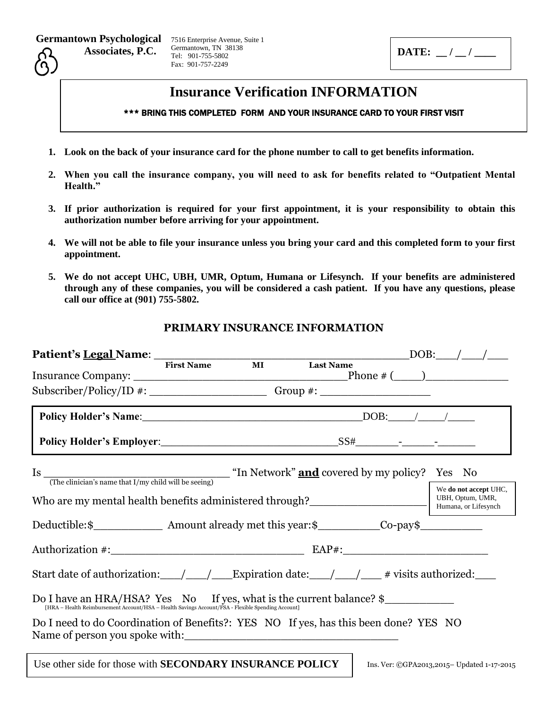Germantown Psychological 7516 Enterprise Avenue, Suite 1

 **Associates, P.C.**

Germantown, TN 38138 Tel: 901-755-5802 Fax: 901-757-2249

**DATE:**  $\frac{1}{2}$ 

## **Insurance Verification INFORMATION**

## \*\*\* BRING THIS COMPLETED FORM AND YOUR INSURANCE CARD TO YOUR FIRST VISIT

- **1. Look on the back of your insurance card for the phone number to call to get benefits information.**
- **2. When you call the insurance company, you will need to ask for benefits related to "Outpatient Mental Health."**
- **3. If prior authorization is required for your first appointment, it is your responsibility to obtain this authorization number before arriving for your appointment.**
- **4. We will not be able to file your insurance unless you bring your card and this completed form to your first appointment.**
- **5. We do not accept UHC, UBH, UMR, Optum, Humana or Lifesynch. If your benefits are administered through any of these companies, you will be considered a cash patient. If you have any questions, please call our office at (901) 755-5802.**

## **PRIMARY INSURANCE INFORMATION**

| Patient's <u>Legal</u> Name: First Name                                                                                                                                   |  | $\underbrace{\hspace{2.5cm}}\hspace{2.2cm}\text{Last Name}\hspace{2.5cm}\underline{\hspace{2.5cm}}\hspace{2.2cm}\text{DOB:}\hspace{2.5cm}\underline{\hspace{2.8cm}}\hspace{2.2cm}\underline{\hspace{2.8cm}}\hspace{2.2cm}\underline{\hspace{2.8cm}}\hspace{2.2cm}\underline{\hspace{2.8cm}}\hspace{2.2cm}\underline{\hspace{2.8cm}}\hspace{2.2cm}\underline{\hspace{2.8cm}}\hspace{2.2cm}\underline{\hspace{2.8cm}}\hspace{2.2cm}\underline{\hspace{2.8cm}}\hspace{2.2cm}\underline$ |
|---------------------------------------------------------------------------------------------------------------------------------------------------------------------------|--|--------------------------------------------------------------------------------------------------------------------------------------------------------------------------------------------------------------------------------------------------------------------------------------------------------------------------------------------------------------------------------------------------------------------------------------------------------------------------------------|
|                                                                                                                                                                           |  |                                                                                                                                                                                                                                                                                                                                                                                                                                                                                      |
|                                                                                                                                                                           |  |                                                                                                                                                                                                                                                                                                                                                                                                                                                                                      |
|                                                                                                                                                                           |  |                                                                                                                                                                                                                                                                                                                                                                                                                                                                                      |
|                                                                                                                                                                           |  |                                                                                                                                                                                                                                                                                                                                                                                                                                                                                      |
|                                                                                                                                                                           |  |                                                                                                                                                                                                                                                                                                                                                                                                                                                                                      |
| Is $\frac{1}{(The \text{ clinical's name that I/my child will be seeing)}}$ "In Network" <b>and</b> covered by my policy? Yes No                                          |  |                                                                                                                                                                                                                                                                                                                                                                                                                                                                                      |
| Who are my mental health benefits administered through?<br>Funnana, or Lifesynch                                                                                          |  | We do not accept UHC,                                                                                                                                                                                                                                                                                                                                                                                                                                                                |
|                                                                                                                                                                           |  |                                                                                                                                                                                                                                                                                                                                                                                                                                                                                      |
|                                                                                                                                                                           |  |                                                                                                                                                                                                                                                                                                                                                                                                                                                                                      |
| Start date of authorization: $\_\_\_\_\_\_\_\_\$ Expiration date: $\_\_\_\_\_\_\_\_\$ # visits authorized:                                                                |  |                                                                                                                                                                                                                                                                                                                                                                                                                                                                                      |
| Do I have an HRA/HSA? Yes No If yes, what is the current balance? \$<br>[HRA - Health Reimbursement Account/HSA - Health Savings Account/FSA - Flexible Spending Account] |  |                                                                                                                                                                                                                                                                                                                                                                                                                                                                                      |
| Do I need to do Coordination of Benefits?: YES NO If yes, has this been done? YES NO<br>Name of person you spoke with:                                                    |  |                                                                                                                                                                                                                                                                                                                                                                                                                                                                                      |
| Use other side for those with SECONDARY INSURANCE POLICY                                                                                                                  |  | Ins. Ver: ©GPA2013,2015-Updated 1-17-2015                                                                                                                                                                                                                                                                                                                                                                                                                                            |